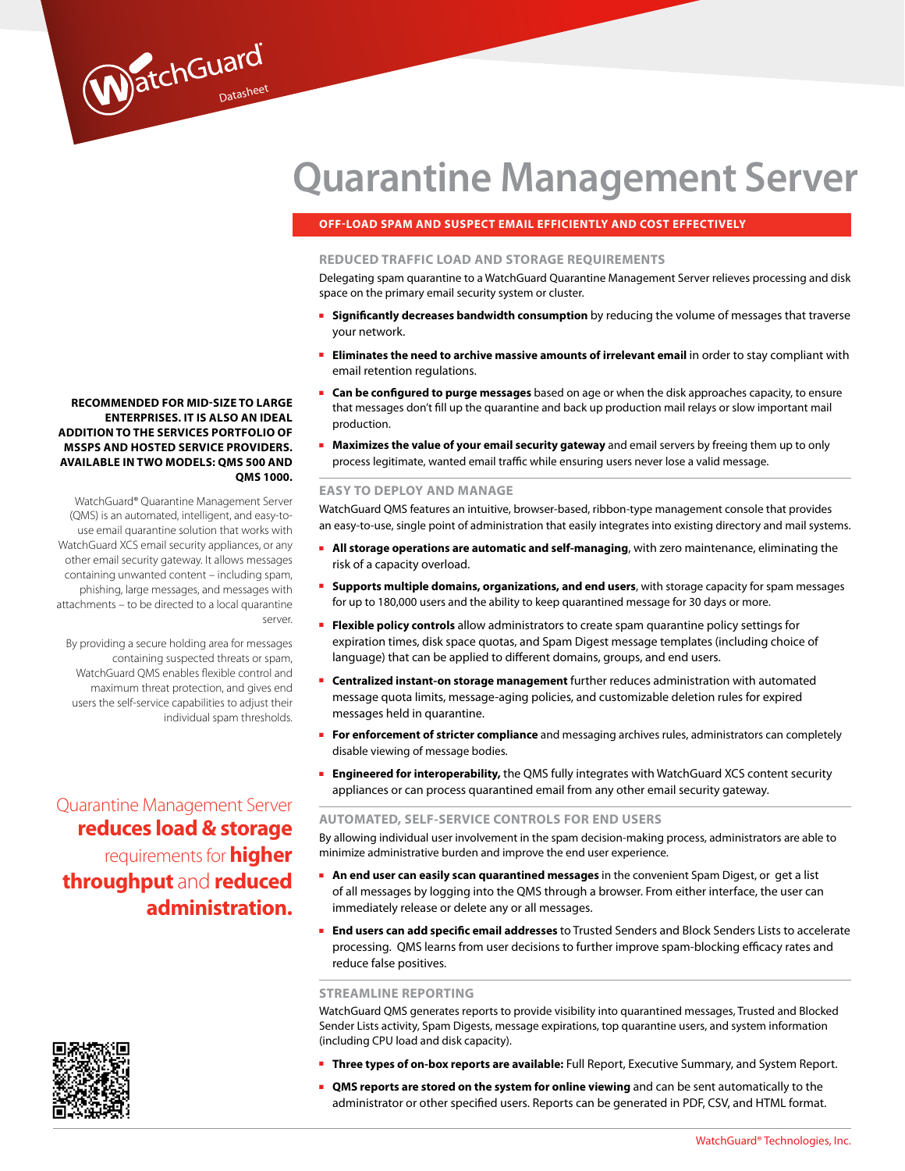# **Quarantine Management Server**

### **OFF-LOAD SPAM AND SUSPECT EMAIL EFFICIENTLY AND COST EFFECTIVELY**

#### **REDUCED TRAFFIC LOAD AND STORAGE REQUIREMENTS**

Delegating spam quarantine to a WatchGuard Quarantine Management Server relieves processing and disk space on the primary email security system or cluster.

- **Burdificantly decreases bandwidth consumption** by reducing the volume of messages that traverse your network.
- **Eliminates the need to archive massive amounts of irrelevant email in order to stay compliant with** email retention regulations.
- **Can be configured to purge messages** based on age or when the disk approaches capacity, to ensure that messages don't fill up the quarantine and back up production mail relays or slow important mail production.
- **Maximizes the value of your email security gateway** and email servers by freeing them up to only process legitimate, wanted email traffic while ensuring users never lose a valid message.

#### **EASY TO DEPLOY AND MANAGE**

WatchGuard QMS features an intuitive, browser-based, ribbon-type management console that provides an easy-to-use, single point of administration that easily integrates into existing directory and mail systems.

- **All storage operations are automatic and self-managing**, with zero maintenance, eliminating the risk of a capacity overload.
- **Supports multiple domains, organizations, and end users**, with storage capacity for spam messages for up to 180,000 users and the ability to keep quarantined message for 30 days or more.
- **Flexible policy controls** allow administrators to create spam quarantine policy settings for expiration times, disk space quotas, and Spam Digest message templates (including choice of language) that can be applied to different domains, groups, and end users.
- **Centralized instant-on storage management** further reduces administration with automated message quota limits, message-aging policies, and customizable deletion rules for expired messages held in quarantine.
- **For enforcement of stricter compliance** and messaging archives rules, administrators can completely disable viewing of message bodies.
- **Engineered for interoperability,** the QMS fully integrates with WatchGuard XCS content security appliances or can process quarantined email from any other email security gateway.

#### **AUTOMATED, SELF-SERVICE CONTROLS FOR END USERS**

By allowing individual user involvement in the spam decision-making process, administrators are able to minimize administrative burden and improve the end user experience.

- **An end user can easily scan quarantined messages** in the convenient Spam Digest, or get a list of all messages by logging into the QMS through a browser. From either interface, the user can immediately release or delete any or all messages.
- **End users can add specific email addresses** to Trusted Senders and Block Senders Lists to accelerate processing. QMS learns from user decisions to further improve spam-blocking efficacy rates and reduce false positives.

#### **STREAMLINE REPORTING**

WatchGuard QMS generates reports to provide visibility into quarantined messages, Trusted and Blocked Sender Lists activity, Spam Digests, message expirations, top quarantine users, and system information (including CPU load and disk capacity).

- **Three types of on-box reports are available:** Full Report, Executive Summary, and System Report.
- **QMS reports are stored on the system for online viewing** and can be sent automatically to the administrator or other specified users. Reports can be generated in PDF, CSV, and HTML format.

### **Recommended for mid-size to large enterprises. It is also an ideal addition to the services portfolio of MSSPs and hosted service providers. Availa ble in two models: QMS 500 and QMS 1000.**

WatchGuard

WatchGuard® Quarantine Management Server (QMS) is an automated, intelligent, and easy-touse email quarantine solution that works with WatchGuard XCS email security appliances, or any other email security gateway. It allows messages containing unwanted content – including spam, phishing, large messages, and messages with attachments – to be directed to a local quarantine server.

By providing a secure holding area for messages containing suspected threats or spam, WatchGuard QMS enables flexible control and maximum threat protection, and gives end users the self-service capabilities to adjust their individual spam thresholds.

Quarantine Management Server **reduces load & storage**  requirements for **higher throughput** and **reduced administration.**